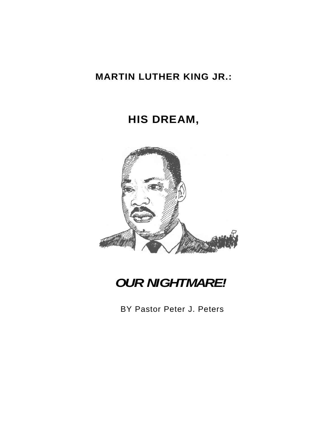## **MARTIN LUTHER KING JR.:**

# **HIS DREAM,**



*OUR NIGHTMARE!* 

BY Pastor Peter J. Peters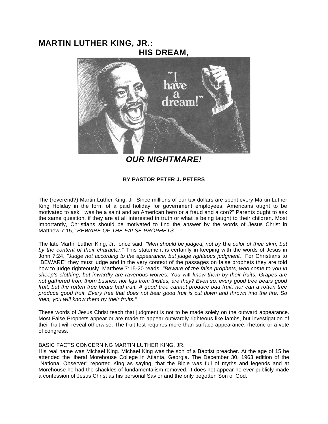### **MARTIN LUTHER KING, JR.: HIS DREAM,**



*OUR NIGHTMARE!* 

#### **BY PASTOR PETER J. PETERS**

The (reverend?) Martin Luther King, Jr. Since millions of our tax dollars are spent every Martin Luther King Holiday in the form of a paid holiday for government employees, Americans ought to be motivated to ask, "was he a saint and an American hero or a fraud and a con?" Parents ought to ask the same question, if they are at all interested in truth or what is being taught to their children. Most importantly, Christians should be motivated to find the answer by the words of Jesus Christ in Matthew 7:15, *"BEWARE OF THE FALSE PROPHETS...."* 

The late Martin Luther King, Jr., once said, *"Men should be judged, not by the color of their skin, but by the content of their character."* This statement is certainly in keeping with the words of Jesus in John 7:24, *"Judge not according to the appearance, but judge righteous judgment."* For Christians to "BEWARE" they must judge and in the very context of the passages on false prophets they are told how to judge righteously. Matthew 7:15-20 reads, *"Beware of the false prophets, who come to you in sheep's clothing, but inwardly are ravenous wolves. You will know them by their fruits. Grapes are not gathered from thorn bushes, nor figs from thistles, are they? Even so, every good tree bears good fruit; but the rotten tree bears bad fruit. A good tree cannot produce bad fruit, nor can a rotten tree produce good fruit. Every tree that does not bear good fruit is cut down and thrown into the fire. So then, you will know them by their fruits."* 

These words of Jesus Christ teach that judgment is not to be made solely on the outward appearance. Most False Prophets appear or are made to appear outwardly righteous like lambs, but investigation of their fruit will reveal otherwise. The fruit test requires more than surface appearance, rhetoric or a vote of congress.

#### BASIC FACTS CONCERNING MARTIN LUTHER KING, JR.

His real name was Michael King. Michael King was the son of a Baptist preacher. At the age of 15 he attended the liberal Morehouse College in Atlanta, Georgia. The December 30, 1963 edition of the "National Observer" reported King as saying, that the Bible was full of myths and legends and at Morehouse he had the shackles of fundamentalism removed. It does not appear he ever publicly made a confession of Jesus Christ as his personal Savior and the only begotten Son of God.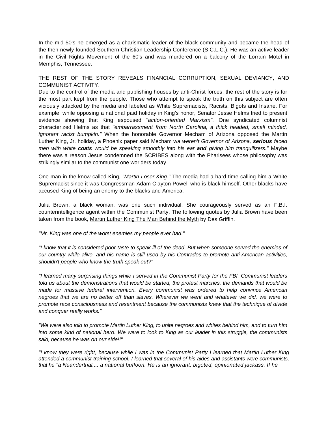In the mid 50's he emerged as a charismatic leader of the black community and became the head of the then newly founded Southern Christian Leadership Conference (S.C.L.C.). He was an active leader in the Civil Rights Movement of the 60's and was murdered on a balcony of the Lorrain Motel in Memphis, Tennessee.

THE REST OF THE STORY REVEALS FINANCIAL CORRUPTION, SEXUAL DEVIANCY, AND COMMUNIST ACTIVITY.

Due to the control of the media and publishing houses by anti-Christ forces, the rest of the story is for the most part kept from the people. Those who attempt to speak the truth on this subject are often viciously attacked by the media and labeled as White Supremacists, Racists, Bigots and Insane. For example, while opposing a national paid holiday in King's honor, Senator Jesse Helms tried to present evidence showing that King espoused *"action-oriented Marxism".* One syndicated columnist characterized Helms as that *"embarrassment from North Carolina, a thick headed, small minded, ignorant racist bumpkin."* When the honorable Governor Mecham of Arizona opposed the Martin Luther King, Jr. holiday, a Phoenix paper said Mecham wa *weren't Governor of Arizona, serious faced men with white coats would be speaking smoothly into his ear and giving him tranquilizers."* Maybe there was a reason Jesus condemned the SCRIBES along with the Pharisees whose philosophy was strikingly similar to the communist one worlders today.

One man in the know called King, *"Martin Loser King."* The media had a hard time calling him a White Supremacist since it was Congressman Adam Clayton Powell who is black himself. Other blacks have accused King of being an enemy to the blacks and America.

Julia Brown, a black woman, was one such individual. She courageously served as an F.B.I. counterintelligence agent within the Communist Party. The following quotes by Julia Brown have been taken from the book, Martin Luther King The Man Behind the Myth by Des Griffin.

*"Mr. King was one of the worst enemies my people ever had."* 

*"I know that it is considered poor taste to speak ill of the dead. But when someone served the enemies of our country while alive, and his name is still used by his Comrades to promote anti-American activities, shouldn't people who know the truth speak out?"* 

*"I learned many surprising things while I served in the Communist Party for the FBI. Communist leaders told us about the demonstrations that would be started, the protest marches, the demands that would be made for massive federal intervention. Every communist was ordered to help convince American negroes that we are no better off than slaves. Wherever we went and whatever we did, we were to promote race consciousness and resentment because the communists knew that the technique of divide and conquer really works."* 

*"We were also told to promote Martin Luther King, to unite negroes and whites behind him, and to turn him into some kind of national hero. We were to look to King as our leader in this struggle, the communists said, because he was on our side!!"* 

*"I know they were right, because while I was in the Communist Party I learned that Martin Luther King attended a communist training school. I learned that several of his aides and assistants were communists, that he "a Neanderthal.... a national buffoon. He is an ignorant, bigoted, opinionated jackass. If he*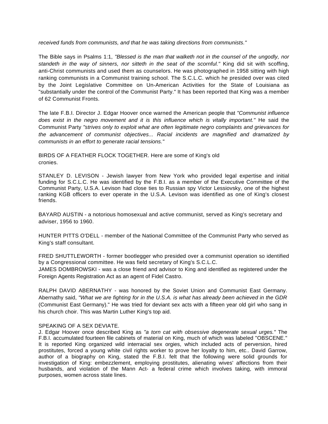*received funds from communists, and that he was taking directions from communists."* 

The Bible says in Psalms 1:1, *"Blessed is the man that walketh not in the counsel of the ungodly, nor standeth in the way of sinners, nor sitteth in the seat of the scornful."* King did sit with scoffing, anti-Christ communists and used them as counselors. He was photographed in 1958 sitting with high ranking communists in a Communist training school. The S.C.L.C. which he presided over was cited by the Joint Legislative Committee on Un-American Activities for the State of Louisiana as "substantially under the control of the Communist Party." It has been reported that King was a member of 62 Communist Fronts.

The late F.B.I. Director J. Edgar Hoover once warned the American people that *"Communist influence*  does exist in the negro movement and it is this influence which is vitally important." He said the Communist Party *"strives only to exploit what are often legitimate negro complaints and grievances for the advancement of communist objectives... Racial incidents are magnified and dramatized by communists in an effort to generate racial tensions."* 

BIRDS OF A FEATHER FLOCK TOGETHER. Here are some of King's old cronies.

STANLEY D. LEVISON - Jewish lawyer from New York who provided legal expertise and initial funding for S.C.L.C. He was identified by the F.B.I. as a member of the Executive Committee of the Communist Party, U.S.A. Levison had close ties to Russian spy Victor Lessiovsky, one of the highest ranking KGB officers to ever operate in the U.S.A. Levison was identified as one of King's closest friends.

BAYARD AUSTIN - a notorious homosexual and active communist, served as King's secretary and adviser, 1956 to 1960.

HUNTER PITTS O'DELL - member of the National Committee of the Communist Party who served as King's staff consultant.

FRED SHUTTLEWORTH - former bootlegger who presided over a communist operation so identified by a Congressional committee. He was field secretary of King's S.C.L.C.

JAMES DOMBROWSKI - was a close friend and advisor to King and identified as registered under the Foreign Agents Registration Act as an agent of Fidel Castro.

RALPH DAVID ABERNATHY - was honored by the Soviet Union and Communist East Germany. Abernathy said, *"What we are fighting for in the U.S.A. is what has already been achieved in the GDR*  (Communist East Germany)." He was tried for deviant sex acts with a fifteen year old girl who sang in his church choir. This was Martin Luther King's top aid.

#### SPEAKING OF A SEX DEVIATE.

J. Edgar Hoover once described King as *"a torn cat with obsessive degenerate sexual urges."* The F.B.I. accumulated fourteen file cabinets of material on King, much of which was labeled "OBSCENE." It is reported King organized wild interracial sex orgies, which included acts of perversion, hired prostitutes, forced a young white civil rights worker to prove her loyalty to him, etc.. David Garrow, author of a biography on King, stated the F.B.I. felt that the following were solid grounds for investigation of King: embezzlement, employing prostitutes, alienating wives' affections from their husbands, and violation of the Mann Act- a federal crime which involves taking, with immoral purposes, women across state lines.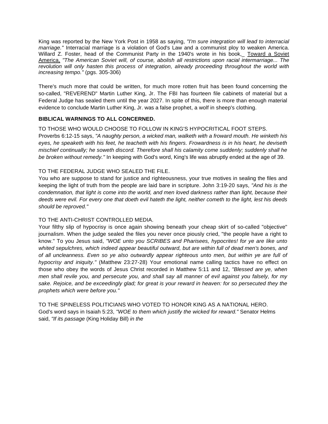King was reported by the New York Post in 1958 as saying, *"I'm sure integration will lead to interracial marriage."* Interracial marriage is a violation of God's Law and a communist ploy to weaken America. Willard Z. Foster, head of the Communist Party in the 1940's wrote in his book, Toward a Soviet America, *"The American Soviet will, of course, abolish all restrictions upon racial intermarriage... The revolution will only hasten this process of integration, already proceeding throughout the world with increasing tempo."* (pgs. 305-306)

There's much more that could be written, for much more rotten fruit has been found concerning the so-called, "REVEREND" Martin Luther King, Jr. The FBI has fourteen file cabinets of material but a Federal Judge has sealed them until the year 2027. In spite of this, there is more than enough material evidence to conclude Martin Luther King, Jr. was a false prophet, a wolf in sheep's clothing.

#### **BIBLICAL WARNINGS TO ALL CONCERNED.**

#### TO THOSE WHO WOULD CHOOSE TO FOLLOW IN KING'S HYPOCRITICAL FOOT STEPS.

Proverbs 6:12-15 says, *"A naughty person, a wicked man, walketh with a froward mouth. He winketh his eyes, he speaketh with his feet, he teacheth with his fingers. Frowardness is in his heart, he deviseth mischief continually; he soweth discord. Therefore shall his calamity come suddenly; suddenly shall he be broken without remedy."* In keeping with God's word, King's life was abruptly ended at the age of 39.

#### TO THE FEDERAL JUDGE WHO SEALED THE FILE.

You who are suppose to stand for justice and righteousness, your true motives in sealing the files and keeping the light of truth from the people are laid bare in scripture. John 3:19-20 says, *"And his is the condemnation, that light is come into the world, and men loved darkness rather than light, because their deeds were evil. For every one that doeth evil hateth the light, neither cometh to the light, lest his deeds should be reproved."* 

#### TO THE ANTI-CHRIST CONTROLLED MEDIA.

Your filthy slip of hypocrisy is once again showing beneath your cheap skirt of so-called "objective" journalism. When the judge sealed the files you never once piously cried, "the people have a right to know." To you Jesus said, *"WOE unto you SCRIBES and Pharisees, hypocrites! for ye are like unto whited sepulchres, which indeed appear beautiful outward, but are within full of dead men's bones, and of all uncleanness. Even so ye also outwardly appear righteous unto men, but within ye are full of hypocrisy and iniquity."* (Matthew 23:27-28) Your emotional name calling tactics have no effect on those who obey the words of Jesus Christ recorded in Matthew 5:11 and 12, *"Blessed are ye, when men shall revile you, and persecute you, and shall say all manner of evil against you falsely, for my sake. Rejoice, and be exceedingly glad; for great is your reward in heaven: for so persecuted they the prophets which were before you."* 

TO THE SPINELESS POLITICIANS WHO VOTED TO HONOR KING AS A NATIONAL HERO. God's word says in Isaiah 5:23, *"WOE to them which justify the wicked for reward."* Senator Helms said, *"If its passage* (King Holiday Bill) *in the*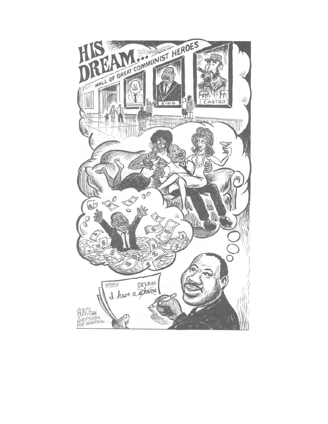